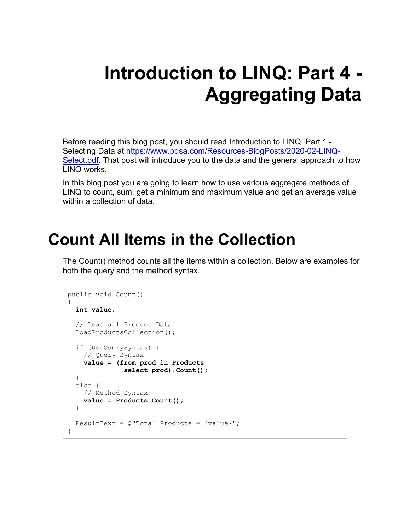# **Introduction to LINQ: Part 4 - Aggregating Data**

Before reading this blog post, you should read Introduction to LINQ: Part 1 - Selecting Data at [https://www.pdsa.com/Resources-BlogPosts/2020-02-LINQ-](https://www.pdsa.com/Resources-BlogPosts/2020-02-LINQ-Select.pdf)[Select.pdf.](https://www.pdsa.com/Resources-BlogPosts/2020-02-LINQ-Select.pdf) That post will introduce you to the data and the general approach to how LINQ works.

In this blog post you are going to learn how to use various aggregate methods of LINQ to count, sum, get a minimum and maximum value and get an average value within a collection of data.

#### **Count All Items in the Collection**

The Count() method counts all the items within a collection. Below are examples for both the query and the method syntax.

```
public void Count()
{
   int value;
   // Load all Product Data
   LoadProductsCollection();
   if (UseQuerySyntax) {
    // Query Syntax
     value = (from prod in Products
               select prod).Count();
   }
   else {
    // Method Syntax
     value = Products.Count();
   }
  ResultText = $"Total Products = \{value\}";
}
```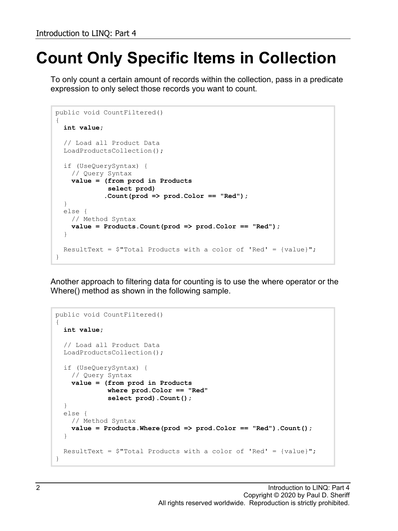# **Count Only Specific Items in Collection**

To only count a certain amount of records within the collection, pass in a predicate expression to only select those records you want to count.

```
public void CountFiltered()
{
   int value;
   // Load all Product Data
   LoadProductsCollection();
   if (UseQuerySyntax) {
     // Query Syntax
     value = (from prod in Products
              select prod)
             .Count(prod => prod.Color == "Red");
   }
   else {
    // Method Syntax
     value = Products.Count(prod => prod.Color == "Red");
   }
  ResultText = \frac{1}{2}"Total Products with a color of 'Red' = {value}";
}
```
Another approach to filtering data for counting is to use the where operator or the Where() method as shown in the following sample.

```
public void CountFiltered()
{
   int value;
   // Load all Product Data
  LoadProductsCollection();
   if (UseQuerySyntax) {
    // Query Syntax
     value = (from prod in Products
              where prod.Color == "Red"
              select prod).Count();
   }
   else {
     // Method Syntax
     value = Products.Where(prod => prod.Color == "Red").Count();
   }
  ResultText = $"Total Products with a color of 'Red' = {value}'';
}
```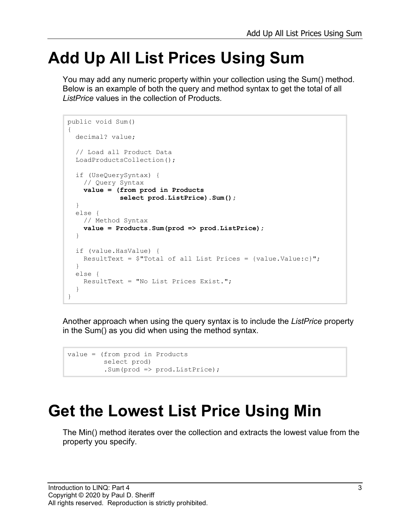#### **Add Up All List Prices Using Sum**

You may add any numeric property within your collection using the Sum() method. Below is an example of both the query and method syntax to get the total of all *ListPrice* values in the collection of Products.

```
public void Sum()
{
   decimal? value;
   // Load all Product Data
   LoadProductsCollection();
   if (UseQuerySyntax) {
     // Query Syntax
     value = (from prod in Products
              select prod.ListPrice).Sum();
   }
   else {
    // Method Syntax
     value = Products.Sum(prod => prod.ListPrice);
   }
   if (value.HasValue) {
    ResultText = $"Total of all List Prices = {value.Vallow:'}; }
   else {
     ResultText = "No List Prices Exist.";
   }
}
```
Another approach when using the query syntax is to include the *ListPrice* property in the Sum() as you did when using the method syntax.

```
value = (from prod in Products
         select prod)
          .Sum(prod => prod.ListPrice);
```
### **Get the Lowest List Price Using Min**

The Min() method iterates over the collection and extracts the lowest value from the property you specify.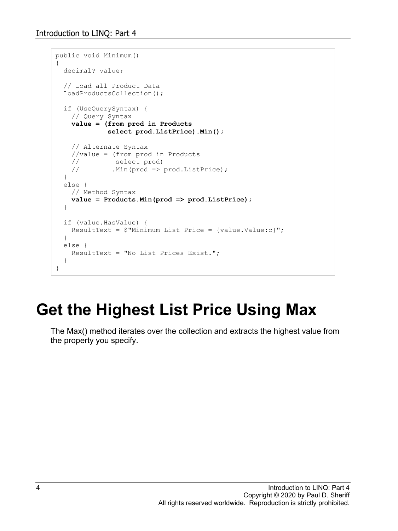```
public void Minimum()
{
   decimal? value;
   // Load all Product Data
   LoadProductsCollection();
   if (UseQuerySyntax) {
     // Query Syntax
     value = (from prod in Products
               select prod.ListPrice).Min();
     // Alternate Syntax
     //value = (from prod in Products
    // select prod)<br>// .Min(prod => '
              .Min(prod \Rightarrow prod.ListPrice);
   }
   else {
    // Method Syntax
     value = Products.Min(prod => prod.ListPrice);
   }
   if (value.HasValue) {
    ResultText = $"Minimum List Price = {value.Value:c}";
   }
   else {
     ResultText = "No List Prices Exist.";
   }
}
```
## **Get the Highest List Price Using Max**

The Max() method iterates over the collection and extracts the highest value from the property you specify.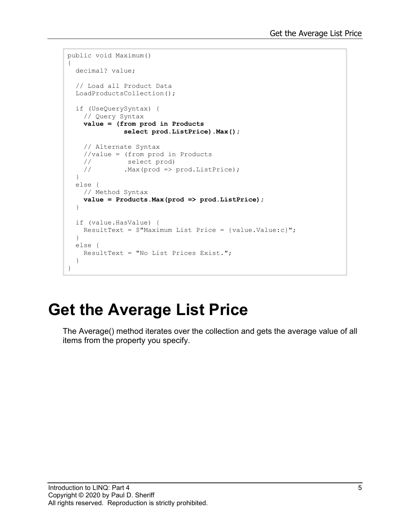```
public void Maximum()
{
  decimal? value;
   // Load all Product Data
  LoadProductsCollection();
   if (UseQuerySyntax) {
     // Query Syntax
    value = (from prod in Products
               select prod.ListPrice).Max();
     // Alternate Syntax
    //value = (from prod in Products
 // select prod)
 // .Max(prod => prod.ListPrice);
   }
   else {
    // Method Syntax
    value = Products.Max(prod => prod.ListPrice);
   }
   if (value.HasValue) {
   ResultText = $"Maximum List Price = {value.Value:c}";
   }
   else {
    ResultText = "No List Prices Exist.";
   }
}
```
# **Get the Average List Price**

The Average() method iterates over the collection and gets the average value of all items from the property you specify.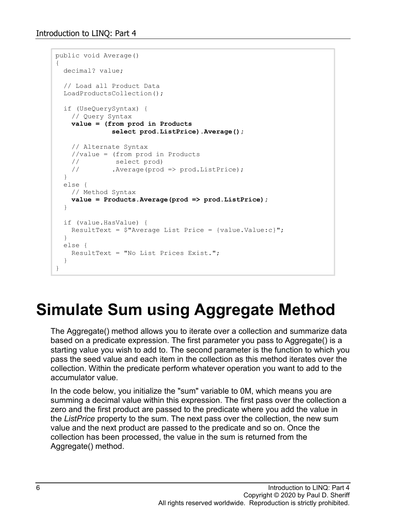```
public void Average()
{
   decimal? value;
   // Load all Product Data
   LoadProductsCollection();
   if (UseQuerySyntax) {
    // Query Syntax
    value = (from prod in Products
               select prod.ListPrice).Average();
    // Alternate Syntax
    //value = (from prod in Products
 // select prod)
 // .Average(prod => prod.ListPrice);
   }
   else {
    // Method Syntax
    value = Products.Average(prod => prod.ListPrice);
   }
   if (value.HasValue) {
   ResultText = $"Average List Price = {value.Value:c}''; }
   else {
    ResultText = "No List Prices Exist.";
   }
}
```
# **Simulate Sum using Aggregate Method**

The Aggregate() method allows you to iterate over a collection and summarize data based on a predicate expression. The first parameter you pass to Aggregate() is a starting value you wish to add to. The second parameter is the function to which you pass the seed value and each item in the collection as this method iterates over the collection. Within the predicate perform whatever operation you want to add to the accumulator value.

In the code below, you initialize the "sum" variable to 0M, which means you are summing a decimal value within this expression. The first pass over the collection a zero and the first product are passed to the predicate where you add the value in the *ListPrice* property to the sum. The next pass over the collection, the new sum value and the next product are passed to the predicate and so on. Once the collection has been processed, the value in the sum is returned from the Aggregate() method.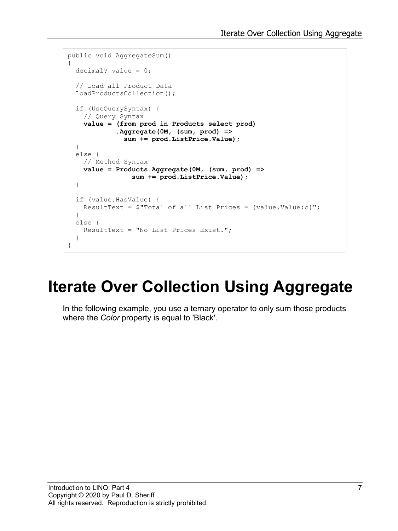```
public void AggregateSum()
{
   decimal? value = 0;
   // Load all Product Data
   LoadProductsCollection();
   if (UseQuerySyntax) {
     // Query Syntax
     value = (from prod in Products select prod)
              .Aggregate(0M, (sum, prod) =>
              sum += prod.ListPrice.Value);
   }
   else {
    // Method Syntax
     value = Products.Aggregate(0M, (sum, prod) =>
                 sum += prod.ListPrice.Value);
   }
   if (value.HasValue) {
   ResultText = \frac{1}{2}"Total of all List Prices = {value.Value:c}";
   }
   else {
     ResultText = "No List Prices Exist.";
   }
}
```
### **Iterate Over Collection Using Aggregate**

In the following example, you use a ternary operator to only sum those products where the *Color* property is equal to 'Black'.